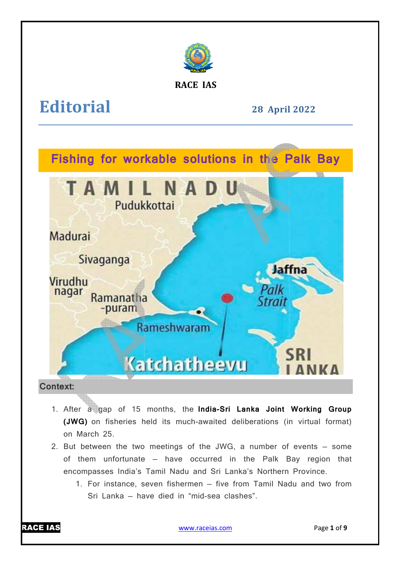

**RACE IAS**

**Editorial**

**28 April April 2022** 



# **Context:**

- 1. After a gap of 15 months, the India-Sri Lanka Joint Working Group **(JWG)** on fisheries held its much-awaited deliberations (in virtual format) on March 25. (JWG) on fisheries held its much-awaited deliberations (in virtual format)<br>on March 25.<br>2. But between the two meetings of the JWG, a number of events – some
- of them unfortunate have occurred in the Palk Bay region that encompasses India's Tamil Nadu and Sri Lanka's Northern Province Province.
	- 1. For instance, seven fishermen five from Tamil Nadu and two from Sri Lanka – have died in "mid-sea clashes".



www.raceias.com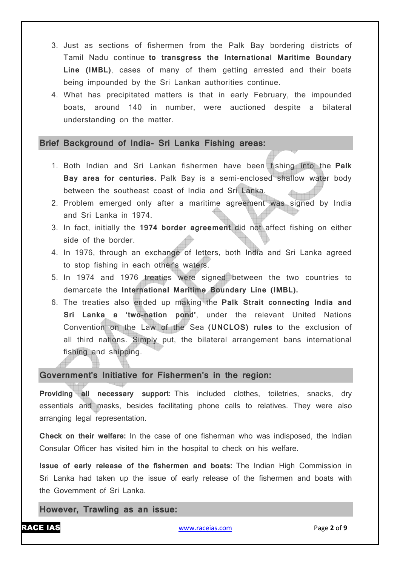- 3. Just as sections of fishermen from the Palk Bay bordering districts of Tamil Nadu continue **to transgress the International Maritime Boundary Line (IMBL)**, cases of many of them getting arrested and their boats being impounded by the Sri Lankan authorities continue.
- 4. What has precipitated matters is that in early February, the impounded boats, around 140 in number, were auctioned despite a bilateral understanding on the matter.

#### **Brief Background of India- Sri Lanka Fishing areas:**

- 1. Both Indian and Sri Lankan fishermen have been fishing into the **Palk Bay area for centuries.** Palk Bay is a semi-enclosed shallow water body between the southeast coast of India and Sri Lanka.
- 2. Problem emerged only after a maritime agreement was signed by India and Sri Lanka in 1974.
- 3. In fact, initially the **1974 border agreement** did not affect fishing on either side of the border.
- 4. In 1976, through an exchange of letters, both India and Sri Lanka agreed to stop fishing in each other's waters.
- 5. In 1974 and 1976 treaties were signed between the two countries to demarcate the **International Maritime Boundary Line (IMBL).**
- 6. The treaties also ended up making the **Palk Strait connecting India and Sri Lanka a 'two-nation pond'**, under the relevant United Nations Convention on the Law of the Sea **(UNCLOS) rules** to the exclusion of all third nations. Simply put, the bilateral arrangement bans international fishing and shipping.

### **Government's Initiative for Fishermen's in the region:**

**Providing all necessary support:** This included clothes, toiletries, snacks, dry essentials and masks, besides facilitating phone calls to relatives. They were also arranging legal representation.

**Check on their welfare:** In the case of one fisherman who was indisposed, the Indian Consular Officer has visited him in the hospital to check on his welfare.

**Issue of early release of the fishermen and boats:** The Indian High Commission in Sri Lanka had taken up the issue of early release of the fishermen and boats with the Government of Sri Lanka.

**However, Trawling as an issue:**

RACE IAS www.raceias.com Page **2** of **9**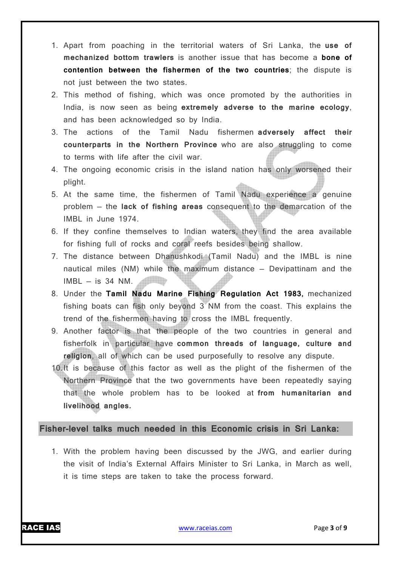- 1. Apart from poaching in the territorial waters of Sri Lanka, the **use of mechanized bottom trawlers** is another issue that has become a **bone of contention between the fishermen of the two countries**; the dispute is not just between the two states.
- 2. This method of fishing, which was once promoted by the authorities in India, is now seen as being **extremely adverse to the marine ecology**, and has been acknowledged so by India.
- 3. The actions of the Tamil Nadu fishermen **adversely affect their counterparts in the Northern Province** who are also struggling to come to terms with life after the civil war.
- 4. The ongoing economic crisis in the island nation has only worsened their plight.
- 5. At the same time, the fishermen of Tamil Nadu experience a genuine problem — the **lack of fishing areas** consequent to the demarcation of the IMBL in June 1974.
- 6. If they confine themselves to Indian waters, they find the area available for fishing full of rocks and coral reefs besides being shallow.
- 7. The distance between Dhanushkodi (Tamil Nadu) and the IMBL is nine nautical miles (NM) while the maximum distance — Devipattinam and the  $IMBL - is 34 NM$ . **All Britain**
- 8. Under the **Tamil Nadu Marine Fishing Regulation Act 1983,** mechanized fishing boats can fish only beyond 3 NM from the coast. This explains the trend of the fishermen having to cross the IMBL frequently.
- 9. Another factor is that the people of the two countries in general and fisherfolk in particular have **common threads of language, culture and religion**, all of which can be used purposefully to resolve any dispute.
- 10.It is because of this factor as well as the plight of the fishermen of the Northern Province that the two governments have been repeatedly saying that the whole problem has to be looked at **from humanitarian and livelihood angles.**

**Fisher-level talks much needed in this Economic crisis in Sri Lanka:**

1. With the problem having been discussed by the JWG, and earlier during the visit of India's External Affairs Minister to Sri Lanka, in March as well, it is time steps are taken to take the process forward.

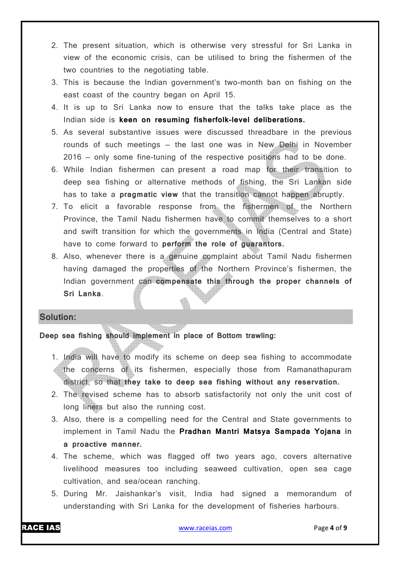- 2. The present situation, which is otherwise very stressful for Sri Lanka in view of the economic crisis, can be utilised to bring the fishermen of the two countries to the negotiating table.
- 3. This is because the Indian government's two-month ban on fishing on the east coast of the country began on April 15.
- 4. It is up to Sri Lanka now to ensure that the talks take place as the Indian side is **keen on resuming fisherfolk-level deliberations.**
- 5. As several substantive issues were discussed threadbare in the previous rounds of such meetings — the last one was in New Delhi in November 2016 — only some fine-tuning of the respective positions had to be done.
- 6. While Indian fishermen can present a road map for their transition to deep sea fishing or alternative methods of fishing, the Sri Lankan side has to take a **pragmatic view** that the transition cannot happen abruptly.
- 7. To elicit a favorable response from the fishermen of the Northern Province, the Tamil Nadu fishermen have to commit themselves to a short and swift transition for which the governments in India (Central and State) have to come forward to **perform the role of guarantors.**
- 8. Also, whenever there is a genuine complaint about Tamil Nadu fishermen having damaged the properties of the Northern Province's fishermen, the Indian government can **compensate this through the proper channels of Sri Lanka**.

### **Solution:**

## **Deep sea fishing should implement in place of Bottom trawling:**

- 1. India will have to modify its scheme on deep sea fishing to accommodate the concerns of its fishermen, especially those from Ramanathapuram district, so that **they take to deep sea fishing without any reservation.**
- 2. The revised scheme has to absorb satisfactorily not only the unit cost of long liners but also the running cost.
- 3. Also, there is a compelling need for the Central and State governments to implement in Tamil Nadu the **Pradhan Mantri Matsya Sampada Yojana in a proactive manner.**
- 4. The scheme, which was flagged off two years ago, covers alternative livelihood measures too including seaweed cultivation, open sea cage cultivation, and sea/ocean ranching.
- 5. During Mr. Jaishankar's visit, India had signed a memorandum of understanding with Sri Lanka for the development of fisheries harbours.

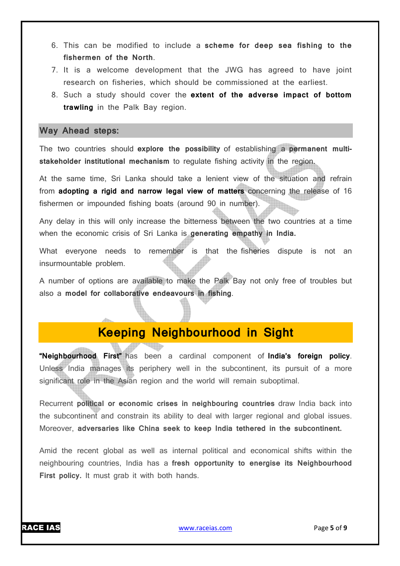- 6. This can be modified to include a **scheme for deep sea fishing to the fishermen of the North**.
- 7. It is a welcome development that the JWG has agreed to have joint research on fisheries, which should be commissioned at the earliest.
- 8. Such a study should cover the **extent of the adverse impact of bottom trawling** in the Palk Bay region.

## **Way Ahead steps:**

The two countries should **explore the possibility** of establishing a **permanent multistakeholder institutional mechanism** to regulate fishing activity in the region.

At the same time, Sri Lanka should take a lenient view of the situation and refrain from **adopting a rigid and narrow legal view of matters** concerning the release of 16 fishermen or impounded fishing boats (around 90 in number).

Any delay in this will only increase the bitterness between the two countries at a time when the economic crisis of Sri Lanka is **generating empathy in India.**

What everyone needs to remember is that the fisheries dispute is not an insurmountable problem.

A number of options are available to make the Palk Bay not only free of troubles but also a **model for collaborative endeavours in fishing**.

# **Keeping Neighbourhood in Sight**

**"Neighbourhood First"** has been a cardinal component of **India's foreign policy**. Unless India manages its periphery well in the subcontinent, its pursuit of a more significant role in the Asian region and the world will remain suboptimal.

Recurrent **political or economic crises in neighbouring countries** draw India back into the subcontinent and constrain its ability to deal with larger regional and global issues. Moreover, **adversaries like China seek to keep India tethered in the subcontinent.**

Amid the recent global as well as internal political and economical shifts within the neighbouring countries, India has a **fresh opportunity to energise its Neighbourhood First policy.** It must grab it with both hands.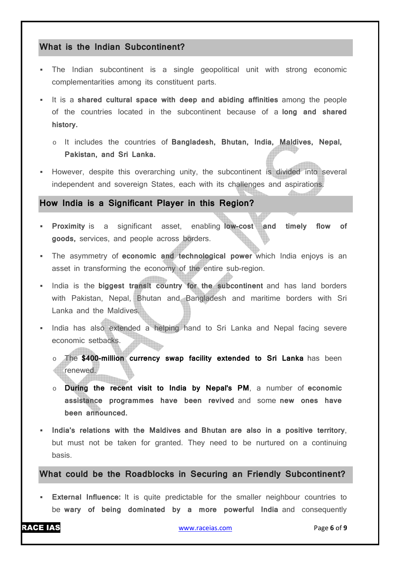# **What is the Indian Subcontinent?**

- The Indian subcontinent is a single geopolitical unit with strong economic complementarities among its constituent parts.
- It is a **shared cultural space with deep and abiding affinities** among the people of the countries located in the subcontinent because of a **long and shared history.**
	- o It includes the countries of **Bangladesh, Bhutan, India, Maldives, Nepal, Pakistan, and Sri Lanka.**
- However, despite this overarching unity, the subcontinent is divided into several independent and sovereign States, each with its challenges and aspirations.

# **How India is a Significant Player in this Region?**

- **Proximity** is a significant asset, enabling **low-cost and timely flow of goods,** services, and people across borders.
- The asymmetry of **economic and technological power** which India enjoys is an asset in transforming the economy of the entire sub-region.
- India is the **biggest transit country for the subcontinent** and has land borders with Pakistan, Nepal, Bhutan and Bangladesh and maritime borders with Sri Lanka and the Maldives.
- India has also extended a helping hand to Sri Lanka and Nepal facing severe economic setbacks.
	- The \$400-million currency swap facility extended to Sri Lanka has been renewed.
	- o **During the recent visit to India by Nepal's PM**, a number of **economic assistance programmes have been revived** and some **new ones have been announced.**
- **India's relations with the Maldives and Bhutan are also in a positive territory**, but must not be taken for granted. They need to be nurtured on a continuing basis.

**What could be the Roadblocks in Securing an Friendly Subcontinent?** 

**External Influence:** It is quite predictable for the smaller neighbour countries to be **wary of being dominated by a more powerful India** and consequently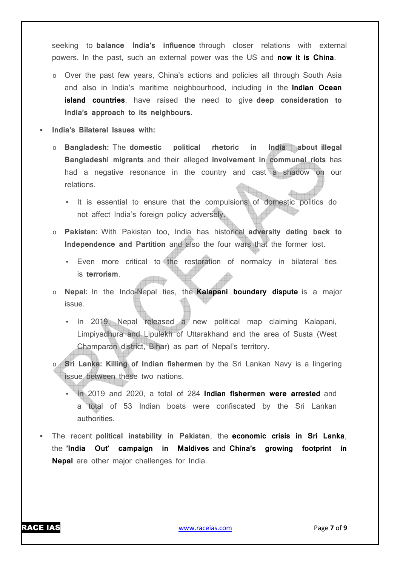seeking to **balance India's influence** through closer relations with external powers. In the past, such an external power was the US and **now it is China**.

- o Over the past few years, China's actions and policies all through South Asia and also in India's maritime neighbourhood, including in the **Indian Ocean island countries**, have raised the need to give **deep consideration to India's approach to its neighbours.**
- **India's Bilateral Issues with:**
	- o **Bangladesh:** The **domestic political rhetoric in India about illegal Bangladeshi migrants** and their alleged **involvement in communal riots** has had a negative resonance in the country and cast a shadow on our relations.
		- It is essential to ensure that the compulsions of domestic politics do not affect India's foreign policy adversely.
	- o **Pakistan:** With Pakistan too, India has historical **adversity dating back to Independence and Partition** and also the four wars that the former lost.
		- Even more critical to the restoration of normalcy in bilateral ties is **terrorism**. **Alli**b
	- o **Nepal:** In the Indo-Nepal ties, the **Kalapani boundary dispute** is a major issue.
		- In 2019, Nepal released a new political map claiming Kalapani, Limpiyadhura and Lipulekh of Uttarakhand and the area of Susta (West Champaran district, Bihar) as part of Nepal's territory.
	- o **Sri Lanka: Killing of Indian fishermen** by the Sri Lankan Navy is a lingering issue between these two nations.
		- In 2019 and 2020, a total of 284 **Indian fishermen were arrested** and a total of 53 Indian boats were confiscated by the Sri Lankan authorities.
- The recent **political instability in Pakistan**, the **economic crisis in Sri Lanka**, the **'India Out' campaign in Maldives** and **China's growing footprint in Nepal** are other major challenges for India.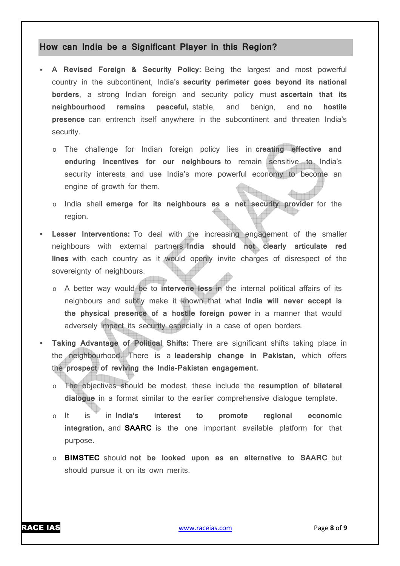# **How can India be a Significant Player in this Region?**

- **A Revised Foreign & Security Policy:** Being the largest and most powerful country in the subcontinent, India's **security perimeter goes beyond its national borders**, a strong Indian foreign and security policy must **ascertain that its neighbourhood remains peaceful,** stable, and benign, and **no hostile presence** can entrench itself anywhere in the subcontinent and threaten India's security.
	- o The challenge for Indian foreign policy lies in **creating effective and enduring incentives for our neighbours** to remain sensitive to India's security interests and use India's more powerful economy to become an engine of growth for them.
	- o India shall **emerge for its neighbours as a net security provider** for the region.
- **Lesser Interventions:** To deal with the increasing engagement of the smaller neighbours with external partners **India should not clearly articulate red lines** with each country as it would openly invite charges of disrespect of the sovereignty of neighbours.
	- o A better way would be to **intervene less** in the internal political affairs of its neighbours and subtly make it known that what **India will never accept is the physical presence of a hostile foreign power** in a manner that would adversely impact its security especially in a case of open borders.
- **Taking Advantage of Political Shifts:** There are significant shifts taking place in the neighbourhood. There is a **leadership change in Pakistan**, which offers the **prospect of reviving the India-Pakistan engagement.**
	- o The objectives should be modest, these include the **resumption of bilateral dialogue** in a format similar to the earlier comprehensive dialogue template.
	- o It is in **India's interest to promote regional economic integration,** and **SAARC** is the one important available platform for that purpose.
	- o **BIMSTEC** should **not be looked upon as an alternative to SAARC** but should pursue it on its own merits.